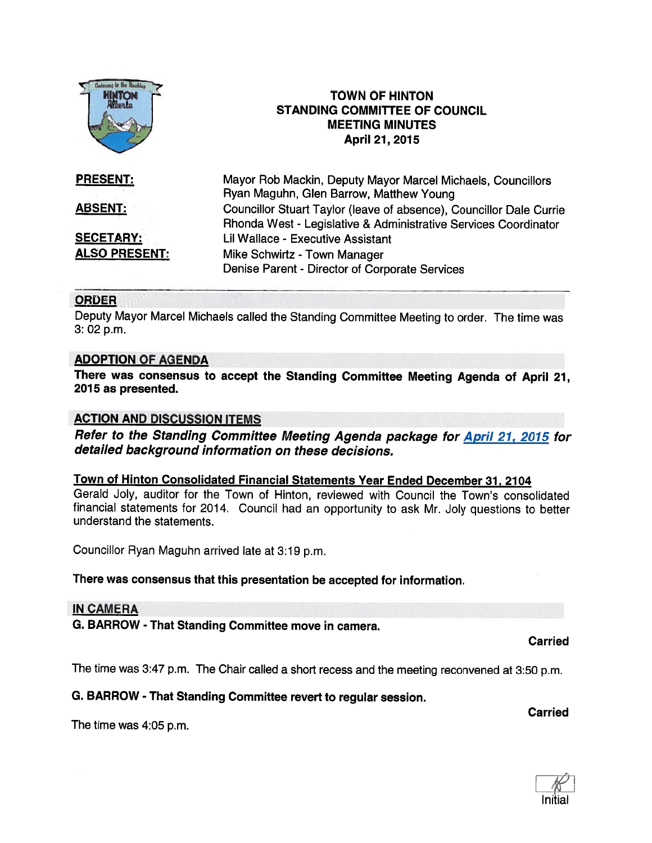

### ORDER

Deputy Mayor Marcel Michaels called the Standing Committee Meeting to order. The time was 3: 02 p.m.

### ADOPTION OF AGENDA

There was consensus to accept the Standing Committee Meeting Agenda of April 21, 2075 as presented.

## ACTION AND DISCUSSION ITEMS

Refer to the Standing Committee Meeting Agenda package for April 21, 2015 for detailed background information on these decisions.

## Town of Hinton Consolidated Financial Statements Year Ended December 31, 2104

Gerald Joly, auditor for the Town of Hinton, reviewed with Council the Town's consolidated financial statements for 2014. Council had an opportunity to ask Mr. Joly questions to better understand the statements.

Councillor Ryan Maguhn arrived late at 3:19 p.m.

### There was consensus that this presentation be accepted for information.

### IN CAMERA

G. BARROW - That Standing Committee move in camera.

Carried

**Carried** 

The time was 3:47 p.m. The Chair called <sup>a</sup> short recess and the meeting reconvened at 3:50 p.m.

## G. BARROW - That Standing Committee revert to regular session.

The time was 4:05 p.m.